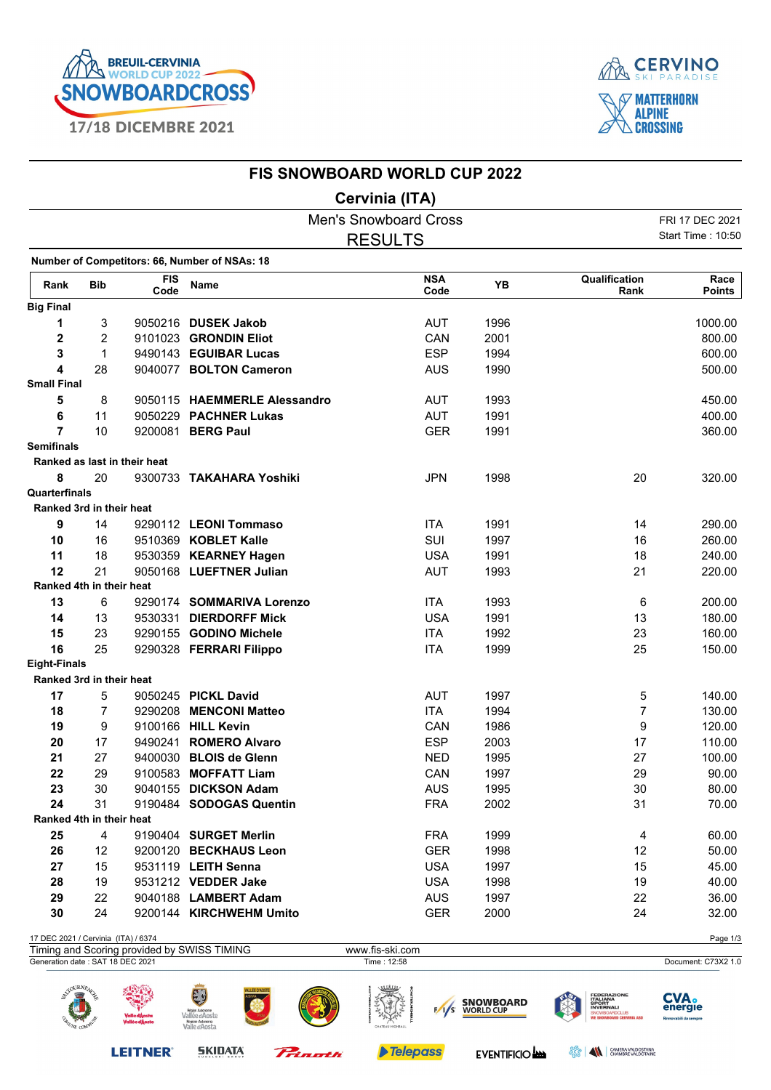

**LEITNER®** 

**SKIDATA** 

Prinath



## **FIS SNOWBOARD WORLD CUP 2022**

## **Cervinia (ITA)**

|                                     |                |                              |                                                     | <b>Men's Snowboard Cross</b> |                    |                               |                                                                                                       | FRI 17 DEC 2021                              |
|-------------------------------------|----------------|------------------------------|-----------------------------------------------------|------------------------------|--------------------|-------------------------------|-------------------------------------------------------------------------------------------------------|----------------------------------------------|
|                                     | <b>RESULTS</b> |                              |                                                     |                              |                    |                               |                                                                                                       | Start Time: 10:50                            |
|                                     |                |                              | Number of Competitors: 66, Number of NSAs: 18       |                              |                    |                               |                                                                                                       |                                              |
| Rank                                | <b>Bib</b>     | <b>FIS</b><br>Code           | Name                                                |                              | <b>NSA</b><br>Code | YB                            | Qualification<br>Rank                                                                                 | Race<br><b>Points</b>                        |
| <b>Big Final</b>                    |                |                              |                                                     |                              |                    |                               |                                                                                                       |                                              |
| 1                                   | 3              |                              | 9050216 DUSEK Jakob                                 |                              | <b>AUT</b>         | 1996                          |                                                                                                       | 1000.00                                      |
| 2                                   | $\overline{2}$ |                              | 9101023 GRONDIN Eliot                               |                              | CAN                | 2001                          |                                                                                                       | 800.00                                       |
| 3                                   | 1              |                              | 9490143 EGUIBAR Lucas                               |                              | <b>ESP</b>         | 1994                          |                                                                                                       | 600.00                                       |
| 4                                   | 28             |                              | 9040077 BOLTON Cameron                              |                              | <b>AUS</b>         | 1990                          |                                                                                                       | 500.00                                       |
| <b>Small Final</b>                  |                |                              |                                                     |                              |                    |                               |                                                                                                       |                                              |
| 5                                   | 8              |                              | 9050115 HAEMMERLE Alessandro                        |                              | <b>AUT</b>         | 1993                          |                                                                                                       | 450.00                                       |
| 6                                   | 11             |                              | 9050229 PACHNER Lukas                               |                              | <b>AUT</b>         | 1991                          |                                                                                                       | 400.00                                       |
| $\overline{7}$                      | 10             |                              | 9200081 BERG Paul                                   |                              | <b>GER</b>         | 1991                          |                                                                                                       | 360.00                                       |
| <b>Semifinals</b>                   |                |                              |                                                     |                              |                    |                               |                                                                                                       |                                              |
|                                     |                | Ranked as last in their heat |                                                     |                              |                    |                               |                                                                                                       |                                              |
| 8                                   | 20             |                              | 9300733 TAKAHARA Yoshiki                            |                              | <b>JPN</b>         | 1998                          | 20                                                                                                    | 320.00                                       |
| Quarterfinals                       |                |                              |                                                     |                              |                    |                               |                                                                                                       |                                              |
| Ranked 3rd in their heat            |                |                              |                                                     |                              |                    |                               |                                                                                                       |                                              |
| 9                                   | 14             |                              | 9290112 LEONI Tommaso                               |                              | <b>ITA</b>         | 1991                          | 14                                                                                                    | 290.00                                       |
| 10                                  | 16             |                              | 9510369 KOBLET Kalle                                |                              | SUI                | 1997                          | 16                                                                                                    | 260.00                                       |
| 11                                  | 18             |                              | 9530359 KEARNEY Hagen                               |                              | <b>USA</b>         | 1991                          | 18                                                                                                    | 240.00                                       |
| 12                                  | 21             |                              | 9050168 LUEFTNER Julian                             |                              | <b>AUT</b>         | 1993                          | 21                                                                                                    | 220.00                                       |
| Ranked 4th in their heat            |                |                              |                                                     |                              |                    |                               |                                                                                                       |                                              |
| 13                                  | 6              |                              | 9290174 SOMMARIVA Lorenzo                           |                              | <b>ITA</b>         | 1993                          | 6                                                                                                     | 200.00                                       |
| 14                                  | 13             |                              | 9530331 DIERDORFF Mick                              |                              | <b>USA</b>         | 1991                          | 13                                                                                                    | 180.00                                       |
| 15                                  | 23             |                              | 9290155 GODINO Michele                              |                              | <b>ITA</b>         | 1992                          | 23                                                                                                    | 160.00                                       |
| 16                                  | 25             |                              | 9290328 FERRARI Filippo                             |                              | <b>ITA</b>         | 1999                          | 25                                                                                                    | 150.00                                       |
| <b>Eight-Finals</b>                 |                |                              |                                                     |                              |                    |                               |                                                                                                       |                                              |
| Ranked 3rd in their heat            |                |                              |                                                     |                              |                    |                               |                                                                                                       |                                              |
| 17                                  | 5              |                              | 9050245 PICKL David                                 |                              | <b>AUT</b>         | 1997                          | 5                                                                                                     | 140.00                                       |
| 18                                  | 7              |                              | 9290208 MENCONI Matteo                              |                              | <b>ITA</b>         | 1994                          | $\overline{7}$                                                                                        | 130.00                                       |
| 19                                  | 9              |                              | 9100166 HILL Kevin                                  |                              | CAN                | 1986                          | 9                                                                                                     | 120.00                                       |
| 20                                  | 17             |                              | 9490241 ROMERO Alvaro                               |                              | <b>ESP</b>         | 2003                          | 17                                                                                                    | 110.00                                       |
| 21                                  | 27             |                              | 9400030 BLOIS de Glenn                              |                              | <b>NED</b>         | 1995                          | 27                                                                                                    | 100.00                                       |
| 22                                  | 29             |                              | 9100583 MOFFATT Liam                                |                              | CAN                | 1997                          | 29                                                                                                    | 90.00                                        |
| 23                                  | 30             |                              | 9040155 DICKSON Adam                                |                              | <b>AUS</b>         | 1995                          | 30                                                                                                    | 80.00                                        |
| 24                                  | 31             |                              | 9190484 SODOGAS Quentin                             |                              | <b>FRA</b>         | 2002                          | 31                                                                                                    | 70.00                                        |
| Ranked 4th in their heat            |                |                              |                                                     |                              |                    |                               |                                                                                                       |                                              |
| 25                                  | 4              |                              | 9190404 SURGET Merlin                               |                              | <b>FRA</b>         | 1999                          | 4                                                                                                     | 60.00                                        |
| 26                                  | 12             |                              | 9200120 BECKHAUS Leon                               |                              | <b>GER</b>         | 1998                          | 12                                                                                                    | 50.00                                        |
| 27                                  | 15             |                              | 9531119 LEITH Senna                                 |                              | <b>USA</b>         | 1997                          | 15                                                                                                    | 45.00                                        |
| 28                                  | 19             |                              | 9531212 VEDDER Jake                                 |                              | <b>USA</b>         | 1998                          | 19                                                                                                    | 40.00                                        |
| 29                                  | 22             |                              | 9040188 LAMBERT Adam                                |                              | <b>AUS</b>         | 1997                          | 22                                                                                                    | 36.00                                        |
| 30                                  | 24             |                              | 9200144 KIRCHWEHM Umito                             |                              | <b>GER</b>         | 2000                          | 24                                                                                                    | 32.00                                        |
| 17 DEC 2021 / Cervinia (ITA) / 6374 |                |                              | Timing and Scoring provided by SWISS TIMING         | www.fis-ski.com              |                    |                               |                                                                                                       | Page 1/3                                     |
| Generation date: SAT 18 DEC 2021    |                |                              |                                                     | Time: 12:58                  |                    |                               |                                                                                                       | Document: C73X2 1.0                          |
| <b>SOURNEAU</b><br>UNE COM          |                |                              | Vallée d'Aoste<br>Regione Autonoma<br>Valle d'Aosta |                              | 1/s                | <b>SNOWBOARD</b><br>WORLD CUP | <b>FEDERAZIONE<br/>ITALIANA<br/>SPORT<br/>INVERNALI</b><br>SNOWBOARDCLUB<br>WE SNOWBOARD CERVINIA ASI | <b>CVA.</b><br>energie<br>movabili da sempre |

Telepass

**OPP AN** CAMERA VALDOSTANA

EVENTIFICIO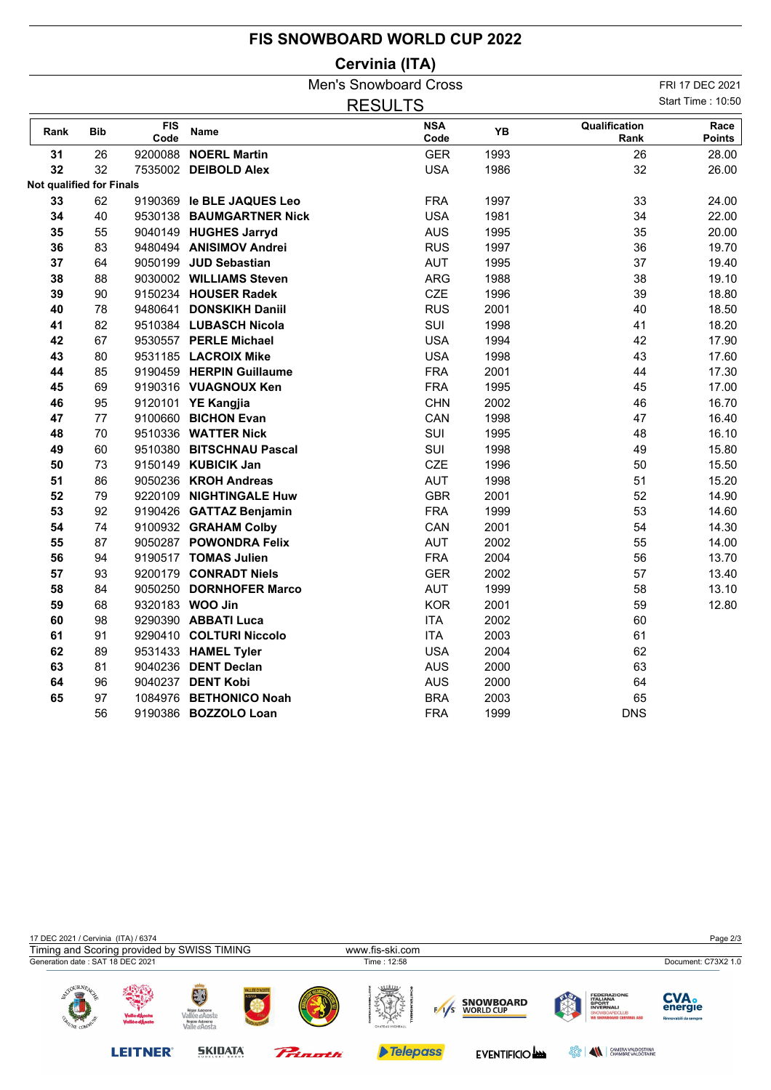## **FIS SNOWBOARD WORLD CUP 2022**

## **Cervinia (ITA)**

|                                            |            |                    |                           | <b>Men's Snowboard Cross</b> |      |                       | FRI 17 DEC 2021 |  |  |  |
|--------------------------------------------|------------|--------------------|---------------------------|------------------------------|------|-----------------------|-----------------|--|--|--|
| <b>Start Time: 10:50</b><br><b>RESULTS</b> |            |                    |                           |                              |      |                       |                 |  |  |  |
| Rank                                       | <b>Bib</b> | <b>FIS</b><br>Code | Name                      | <b>NSA</b><br>Code           | YB   | Qualification<br>Rank | Race<br>Points  |  |  |  |
| 31                                         | 26         |                    | 9200088 NOERL Martin      | <b>GER</b>                   | 1993 | 26                    | 28.00           |  |  |  |
| 32                                         | 32         |                    | 7535002 DEIBOLD Alex      | <b>USA</b>                   | 1986 | 32                    | 26.00           |  |  |  |
| Not qualified for Finals                   |            |                    |                           |                              |      |                       |                 |  |  |  |
| 33                                         | 62         |                    | 9190369 le BLE JAQUES Leo | <b>FRA</b>                   | 1997 | 33                    | 24.00           |  |  |  |
| 34                                         | 40         |                    | 9530138 BAUMGARTNER Nick  | <b>USA</b>                   | 1981 | 34                    | 22.00           |  |  |  |
| 35                                         | 55         |                    | 9040149 HUGHES Jarryd     | <b>AUS</b>                   | 1995 | 35                    | 20.00           |  |  |  |
| 36                                         | 83         |                    | 9480494 ANISIMOV Andrei   | <b>RUS</b>                   | 1997 | 36                    | 19.70           |  |  |  |
| 37                                         | 64         |                    | 9050199 JUD Sebastian     | <b>AUT</b>                   | 1995 | 37                    | 19.40           |  |  |  |
| 38                                         | 88         |                    | 9030002 WILLIAMS Steven   | <b>ARG</b>                   | 1988 | 38                    | 19.10           |  |  |  |
| 39                                         | 90         |                    | 9150234 HOUSER Radek      | <b>CZE</b>                   | 1996 | 39                    | 18.80           |  |  |  |
| 40                                         | 78         |                    | 9480641 DONSKIKH Daniil   | <b>RUS</b>                   | 2001 | 40                    | 18.50           |  |  |  |
| 41                                         | 82         |                    | 9510384 LUBASCH Nicola    | SUI                          | 1998 | 41                    | 18.20           |  |  |  |
| 42                                         | 67         |                    | 9530557 PERLE Michael     | <b>USA</b>                   | 1994 | 42                    | 17.90           |  |  |  |
| 43                                         | 80         |                    | 9531185 LACROIX Mike      | <b>USA</b>                   | 1998 | 43                    | 17.60           |  |  |  |
| 44                                         | 85         |                    | 9190459 HERPIN Guillaume  | <b>FRA</b>                   | 2001 | 44                    | 17.30           |  |  |  |
| 45                                         | 69         |                    | 9190316 VUAGNOUX Ken      | <b>FRA</b>                   | 1995 | 45                    | 17.00           |  |  |  |
| 46                                         | 95         |                    | 9120101 YE Kangjia        | <b>CHN</b>                   | 2002 | 46                    | 16.70           |  |  |  |
| 47                                         | 77         |                    | 9100660 BICHON Evan       | CAN                          | 1998 | 47                    | 16.40           |  |  |  |
| 48                                         | 70         |                    | 9510336 WATTER Nick       | SUI                          | 1995 | 48                    | 16.10           |  |  |  |
| 49                                         | 60         |                    | 9510380 BITSCHNAU Pascal  | SUI                          | 1998 | 49                    | 15.80           |  |  |  |
| 50                                         | 73         |                    | 9150149 KUBICIK Jan       | <b>CZE</b>                   | 1996 | 50                    | 15.50           |  |  |  |
| 51                                         | 86         |                    | 9050236 KROH Andreas      | <b>AUT</b>                   | 1998 | 51                    | 15.20           |  |  |  |
| 52                                         | 79         |                    | 9220109 NIGHTINGALE Huw   | <b>GBR</b>                   | 2001 | 52                    | 14.90           |  |  |  |
| 53                                         | 92         |                    | 9190426 GATTAZ Benjamin   | <b>FRA</b>                   | 1999 | 53                    | 14.60           |  |  |  |
| 54                                         | 74         |                    | 9100932 GRAHAM Colby      | CAN                          | 2001 | 54                    | 14.30           |  |  |  |
| 55                                         | 87         |                    | 9050287 POWONDRA Felix    | <b>AUT</b>                   | 2002 | 55                    | 14.00           |  |  |  |
| 56                                         | 94         |                    | 9190517 TOMAS Julien      | <b>FRA</b>                   | 2004 | 56                    | 13.70           |  |  |  |
| 57                                         | 93         |                    | 9200179 CONRADT Niels     | <b>GER</b>                   | 2002 | 57                    | 13.40           |  |  |  |
| 58                                         | 84         |                    | 9050250 DORNHOFER Marco   | <b>AUT</b>                   | 1999 | 58                    | 13.10           |  |  |  |
| 59                                         | 68         |                    | 9320183 WOO Jin           | <b>KOR</b>                   | 2001 | 59                    | 12.80           |  |  |  |
| 60                                         | 98         |                    | 9290390 ABBATI Luca       | <b>ITA</b>                   | 2002 | 60                    |                 |  |  |  |
| 61                                         | 91         |                    | 9290410 COLTURI Niccolo   | <b>ITA</b>                   | 2003 | 61                    |                 |  |  |  |
| 62                                         | 89         |                    | 9531433 HAMEL Tyler       | <b>USA</b>                   | 2004 | 62                    |                 |  |  |  |
| 63                                         | 81         |                    | 9040236 DENT Declan       | <b>AUS</b>                   | 2000 | 63                    |                 |  |  |  |
| 64                                         | 96         |                    | 9040237 DENT Kobi         | <b>AUS</b>                   | 2000 | 64                    |                 |  |  |  |
| 65                                         | 97         |                    | 1084976 BETHONICO Noah    | <b>BRA</b>                   | 2003 | 65                    |                 |  |  |  |
|                                            | 56         |                    | 9190386 BOZZOLO Loan      | <b>FRA</b>                   | 1999 | <b>DNS</b>            |                 |  |  |  |